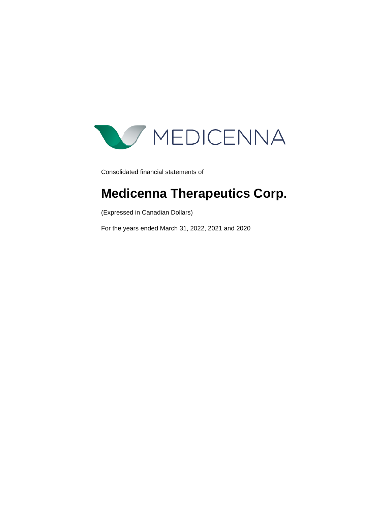

Consolidated financial statements of

# **Medicenna Therapeutics Corp.**

(Expressed in Canadian Dollars)

For the years ended March 31, 2022, 2021 and 2020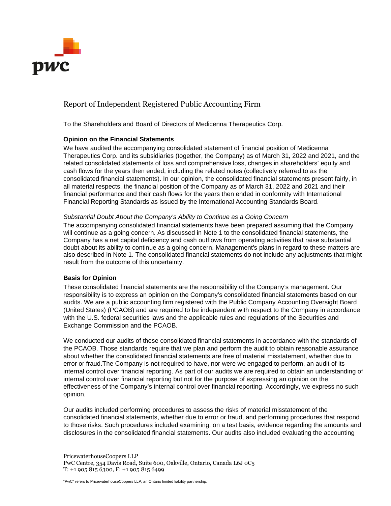

### Report of Independent Registered Public Accounting Firm

To the Shareholders and Board of Directors of Medicenna Therapeutics Corp.

#### **Opinion on the Financial Statements**

We have audited the accompanying consolidated statement of financial position of Medicenna Therapeutics Corp. and its subsidiaries (together, the Company) as of March 31, 2022 and 2021, and the related consolidated statements of loss and comprehensive loss, changes in shareholders' equity and cash flows for the years then ended, including the related notes (collectively referred to as the consolidated financial statements). In our opinion, the consolidated financial statements present fairly, in all material respects, the financial position of the Company as of March 31, 2022 and 2021 and their financial performance and their cash flows for the years then ended in conformity with International Financial Reporting Standards as issued by the International Accounting Standards Board.

#### *Substantial Doubt About the Company's Ability to Continue as a Going Concern*

The accompanying consolidated financial statements have been prepared assuming that the Company will continue as a going concern. As discussed in Note 1 to the consolidated financial statements, the Company has a net capital deficiency and cash outflows from operating activities that raise substantial doubt about its ability to continue as a going concern. Management's plans in regard to these matters are also described in Note 1. The consolidated financial statements do not include any adjustments that might result from the outcome of this uncertainty.

### **Basis for Opinion**

These consolidated financial statements are the responsibility of the Company's management. Our responsibility is to express an opinion on the Company's consolidated financial statements based on our audits. We are a public accounting firm registered with the Public Company Accounting Oversight Board (United States) (PCAOB) and are required to be independent with respect to the Company in accordance with the U.S. federal securities laws and the applicable rules and regulations of the Securities and Exchange Commission and the PCAOB.

We conducted our audits of these consolidated financial statements in accordance with the standards of the PCAOB. Those standards require that we plan and perform the audit to obtain reasonable assurance about whether the consolidated financial statements are free of material misstatement, whether due to error or fraud.The Company is not required to have, nor were we engaged to perform, an audit of its internal control over financial reporting. As part of our audits we are required to obtain an understanding of internal control over financial reporting but not for the purpose of expressing an opinion on the effectiveness of the Company's internal control over financial reporting. Accordingly, we express no such opinion.

Our audits included performing procedures to assess the risks of material misstatement of the consolidated financial statements, whether due to error or fraud, and performing procedures that respond to those risks. Such procedures included examining, on a test basis, evidence regarding the amounts and disclosures in the consolidated financial statements. Our audits also included evaluating the accounting

PricewaterhouseCoopers LLP PwC Centre, 354 Davis Road, Suite 600, Oakville, Ontario, Canada L6J 0C5 T: +1 905 815 6300, F: +1 905 815 6499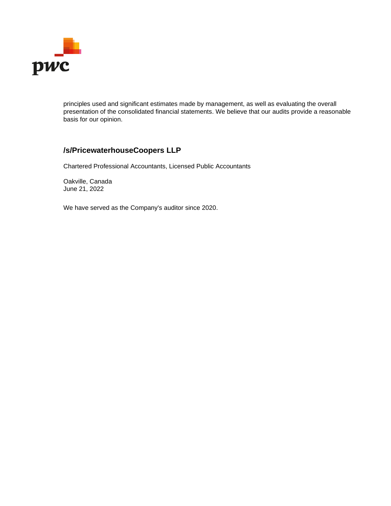

principles used and significant estimates made by management, as well as evaluating the overall presentation of the consolidated financial statements. We believe that our audits provide a reasonable basis for our opinion.

### **/s/PricewaterhouseCoopers LLP**

Chartered Professional Accountants, Licensed Public Accountants

Oakville, Canada June 21, 2022

We have served as the Company's auditor since 2020.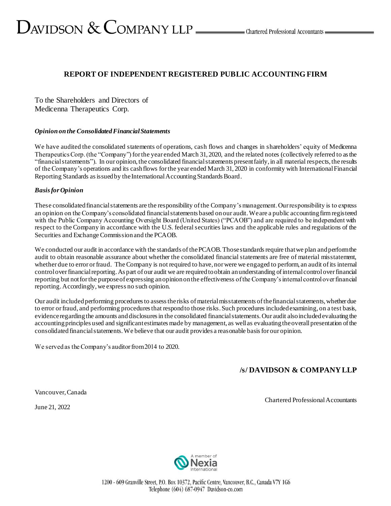# $D_{\text{AVIDSON}} \ \&\ \text{COMPANY LLP} \_\text{\tiny{LIP}}$  Chartered Professional Accountants  $D_{\text{AVIDSON}}$

### **REPORT OF INDEPENDENT REGISTERED PUBLIC ACCOUNTING FIRM**

To the Shareholders and Directors of Medicenna Therapeutics Corp.

#### *Opinion on the Consolidated Financial Statements*

We have audited the consolidated statements of operations, cash flows and changes in shareholders' equity of Medicenna Therapeutics Corp. (the "Company") for the year ended March 31, 2020, and the related notes (collectively referred to as the "financial statements"). In our opinion, the consolidated financial statements present fairly, in all material respects, the results of the Company's operations and its cash flows for the year ended March 31, 2020 in conformity with International Financial Reporting Standards as issued by the International Accounting Standards Board.

### *Basis for Opinion*

These consolidated financial statements are the responsibility of the Company's management. Our responsibility is to express an opinion on the Company's consolidated financial statements based on our audit. We are a public accounting firm registered with the Public Company Accounting Oversight Board (United States) ("PCAOB") and are required to be independent with respect to the Company in accordance with the U.S. federal securities laws and the applicable rules and regulations of the Securities and Exchange Commission and the PCAOB.

We conducted our audit in accordance with the standards of the PCAOB. Those standards require that we plan and perform the audit to obtain reasonable assurance about whether the consolidated financial statements are free of material misstatement, whether due to error or fraud. The Company is not required to have, nor were we engaged to perform, an audit of its internal control over financial reporting. As part of our audit we are required to obtain an understanding of internal control over financial reporting but not for the purpose of expressing an opinion on the effectiveness of the Company's internal control over financial reporting. Accordingly, we express no such opinion.

Our audit included performing procedures to assess the risks of material misstatements of the financial statements, whether due to error or fraud, and performing procedures that respond to those risks. Such procedures included examining, on a test basis, evidence regarding the amounts and disclosures in the consolidated financial statements. Our audit also included evaluating the accounting principles used and significant estimates made by management, as well as evaluating the overall presentation of the consolidated financial statements.We believe that our audit provides a reasonable basis for our opinion.

We served as the Company's auditor from 2014 to 2020.

### **/s/ DAVIDSON & COMPANY LLP**

Vancouver, Canada

June 21, 2022

#### Chartered Professional Accountants



1200 - 609 Granville Street, P.O. Box 10372, Pacific Centre, Vancouver, B.C., Canada V7Y 1G6 Telephone (604) 687-0947 Davidson-co.com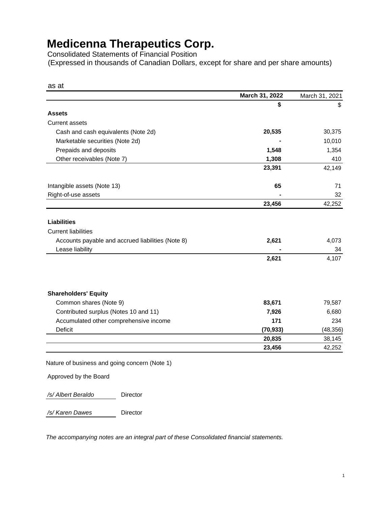Consolidated Statements of Financial Position (Expressed in thousands of Canadian Dollars, except for share and per share amounts)

|                                                                                                       | March 31, 2022 | March 31, 2021 |
|-------------------------------------------------------------------------------------------------------|----------------|----------------|
|                                                                                                       | \$             | \$             |
| <b>Assets</b>                                                                                         |                |                |
| <b>Current assets</b>                                                                                 |                |                |
| Cash and cash equivalents (Note 2d)                                                                   | 20,535         | 30,375         |
| Marketable securities (Note 2d)                                                                       |                | 10,010         |
| Prepaids and deposits                                                                                 | 1,548          | 1,354          |
| Other receivables (Note 7)                                                                            | 1,308          | 410            |
|                                                                                                       | 23,391         | 42,149         |
| Intangible assets (Note 13)                                                                           | 65             | 71             |
| Right-of-use assets                                                                                   |                | 32             |
|                                                                                                       | 23,456         | 42,252         |
| <b>Liabilities</b><br><b>Current liabilities</b><br>Accounts payable and accrued liabilities (Note 8) | 2,621          | 4,073          |
| Lease liability                                                                                       |                | 34             |
|                                                                                                       | 2,621          | 4,107          |
| <b>Shareholders' Equity</b>                                                                           |                |                |
| Common shares (Note 9)                                                                                | 83,671         | 79,587         |
| Contributed surplus (Notes 10 and 11)                                                                 | 7,926          | 6,680          |
| Accumulated other comprehensive income                                                                | 171            | 234            |
| Deficit                                                                                               | (70, 933)      | (48, 356)      |
|                                                                                                       | 20,835         | 38,145         |
|                                                                                                       | 23,456         | 42,252         |

Approved by the Board

*/s/ Albert Beraldo* Director

*/s/ Karen Dawes* Director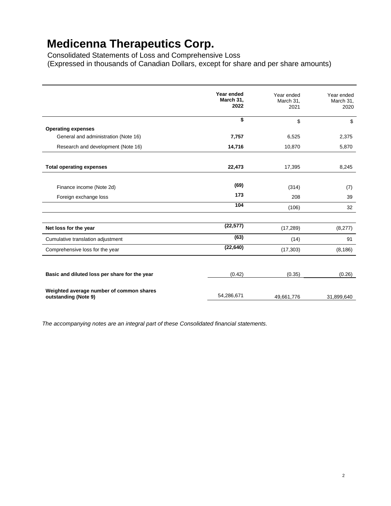Consolidated Statements of Loss and Comprehensive Loss (Expressed in thousands of Canadian Dollars, except for share and per share amounts)

|                                                                  | Year ended<br>March 31,<br>2022 | Year ended<br>March 31,<br>2021 | Year ended<br>March 31,<br>2020 |
|------------------------------------------------------------------|---------------------------------|---------------------------------|---------------------------------|
|                                                                  | \$                              | \$                              | \$                              |
| <b>Operating expenses</b>                                        |                                 |                                 |                                 |
| General and administration (Note 16)                             | 7,757                           | 6,525                           | 2,375                           |
| Research and development (Note 16)                               | 14,716                          | 10,870                          | 5,870                           |
|                                                                  |                                 |                                 |                                 |
| <b>Total operating expenses</b>                                  | 22,473                          | 17,395                          | 8,245                           |
|                                                                  |                                 |                                 |                                 |
| Finance income (Note 2d)                                         | (69)                            | (314)                           | (7)                             |
| Foreign exchange loss                                            | 173                             | 208                             | 39                              |
|                                                                  | 104                             | (106)                           | 32                              |
|                                                                  |                                 |                                 |                                 |
| Net loss for the year                                            | (22, 577)                       | (17, 289)                       | (8,277)                         |
| Cumulative translation adjustment                                | (63)                            | (14)                            | 91                              |
| Comprehensive loss for the year                                  | (22, 640)                       | (17, 303)                       | (8, 186)                        |
|                                                                  |                                 |                                 |                                 |
| Basic and diluted loss per share for the year                    | (0.42)                          | (0.35)                          | (0.26)                          |
|                                                                  |                                 |                                 |                                 |
| Weighted average number of common shares<br>outstanding (Note 9) | 54,286,671                      | 49,661,776                      | 31,899,640                      |
|                                                                  |                                 |                                 |                                 |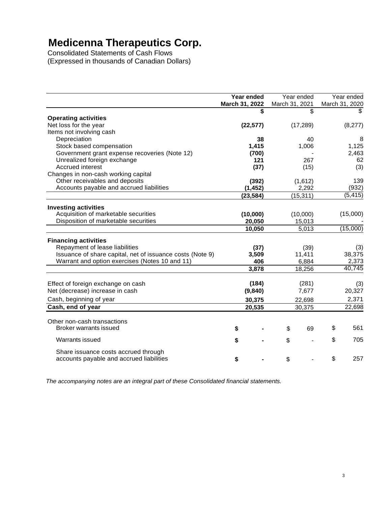Consolidated Statements of Cash Flows (Expressed in thousands of Canadian Dollars)

|                                                           | Year ended     | Year ended     | Year ended     |
|-----------------------------------------------------------|----------------|----------------|----------------|
|                                                           | March 31, 2022 | March 31, 2021 | March 31, 2020 |
|                                                           | \$             | \$             | \$.            |
| <b>Operating activities</b>                               |                |                |                |
| Net loss for the year                                     | (22, 577)      | (17, 289)      | (8,277)        |
| Items not involving cash                                  |                |                |                |
| Depreciation                                              | 38             | 40             | 8              |
| Stock based compensation                                  | 1,415          | 1,006          | 1,125          |
| Government grant expense recoveries (Note 12)             | (700)          |                | 2,463          |
| Unrealized foreign exchange                               | 121            | 267            | 62             |
| <b>Accrued interest</b>                                   | (37)           | (15)           | (3)            |
| Changes in non-cash working capital                       |                |                |                |
| Other receivables and deposits                            | (392)          | (1,612)        | 139            |
| Accounts payable and accrued liabilities                  | (1, 452)       | 2,292          | (932)          |
|                                                           | (23, 584)      | (15, 311)      | (5, 415)       |
| <b>Investing activities</b>                               |                |                |                |
| Acquisition of marketable securities                      | (10,000)       | (10,000)       | (15,000)       |
| Disposition of marketable securities                      | 20,050         | 15,013         |                |
|                                                           | 10,050         | 5,013          | (15,000)       |
|                                                           |                |                |                |
| <b>Financing activities</b>                               |                |                |                |
| Repayment of lease liabilities                            | (37)           | (39)           | (3)            |
| Issuance of share capital, net of issuance costs (Note 9) | 3,509          | 11,411         | 38,375         |
| Warrant and option exercises (Notes 10 and 11)            | 406            | 6,884          | 2,373          |
|                                                           | 3,878          | 18,256         | 40,745         |
|                                                           |                |                |                |
| Effect of foreign exchange on cash                        | (184)          | (281)          | (3)            |
| Net (decrease) increase in cash                           | (9,840)        | 7,677          | 20,327         |
| Cash, beginning of year                                   | 30,375         | 22,698         | 2,371          |
| Cash, end of year                                         | 20,535         | 30,375         | 22,698         |
|                                                           |                |                |                |
| Other non-cash transactions                               |                |                |                |
| Broker warrants issued                                    | \$             | 69<br>\$       | \$<br>561      |
| <b>Warrants issued</b>                                    | \$             | \$             | \$<br>705      |
| Share issuance costs accrued through                      |                |                |                |
| accounts payable and accrued liabilities                  | \$             | \$             | \$<br>257      |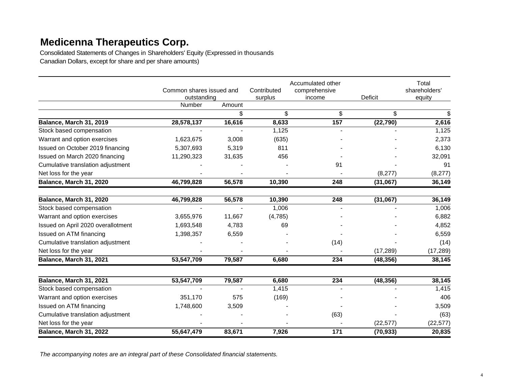Consolidated Statements of Changes in Shareholders' Equity (Expressed in thousands Canadian Dollars, except for share and per share amounts)

|                                    | Common shares issued and<br>outstanding |        | Contributed<br>surplus | Accumulated other<br>comprehensive<br>income | Deficit   | Total<br>shareholders'<br>equity |
|------------------------------------|-----------------------------------------|--------|------------------------|----------------------------------------------|-----------|----------------------------------|
|                                    | Number                                  | Amount |                        |                                              |           |                                  |
|                                    |                                         | \$     | \$                     | \$                                           | \$        | \$                               |
| Balance, March 31, 2019            | 28,578,137                              | 16,616 | 8,633                  | 157                                          | (22, 790) | 2,616                            |
| Stock based compensation           |                                         |        | 1,125                  |                                              |           | 1,125                            |
| Warrant and option exercises       | 1,623,675                               | 3,008  | (635)                  |                                              |           | 2,373                            |
| Issued on October 2019 financing   | 5,307,693                               | 5,319  | 811                    |                                              |           | 6,130                            |
| Issued on March 2020 financing     | 11,290,323                              | 31,635 | 456                    |                                              |           | 32,091                           |
| Cumulative translation adjustment  |                                         |        |                        | 91                                           |           | 91                               |
| Net loss for the year              |                                         |        |                        |                                              | (8,277)   | (8,277)                          |
| Balance, March 31, 2020            | 46,799,828                              | 56,578 | 10,390                 | 248                                          | (31,067)  | 36,149                           |
| Balance, March 31, 2020            | 46,799,828                              | 56,578 | 10,390                 | 248                                          | (31,067)  | 36,149                           |
| Stock based compensation           |                                         |        | 1,006                  |                                              |           | 1,006                            |
| Warrant and option exercises       | 3,655,976                               | 11,667 | (4,785)                |                                              |           | 6,882                            |
| Issued on April 2020 overallotment | 1,693,548                               | 4,783  | 69                     |                                              |           | 4,852                            |
| Issued on ATM financing            | 1,398,357                               | 6,559  |                        |                                              |           | 6,559                            |
| Cumulative translation adjustment  |                                         |        |                        | (14)                                         |           | (14)                             |
| Net loss for the year              |                                         |        |                        |                                              | (17, 289) | (17, 289)                        |
| Balance, March 31, 2021            | 53,547,709                              | 79,587 | 6,680                  | 234                                          | (48, 356) | 38,145                           |
| Balance, March 31, 2021            | 53,547,709                              | 79,587 | 6,680                  | 234                                          | (48, 356) | 38,145                           |
| Stock based compensation           |                                         |        | 1,415                  |                                              |           | 1,415                            |
| Warrant and option exercises       | 351,170                                 | 575    | (169)                  |                                              |           | 406                              |
| Issued on ATM financing            | 1,748,600                               | 3,509  |                        |                                              |           | 3,509                            |
| Cumulative translation adjustment  |                                         |        |                        | (63)                                         |           | (63)                             |
| Net loss for the year              |                                         |        |                        |                                              | (22, 577) | (22, 577)                        |
| Balance, March 31, 2022            | 55,647,479                              | 83,671 | 7,926                  | 171                                          | (70, 933) | 20,835                           |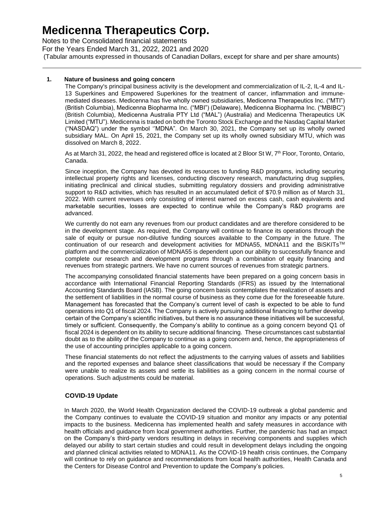Notes to the Consolidated financial statements For the Years Ended March 31, 2022, 2021 and 2020 (Tabular amounts expressed in thousands of Canadian Dollars, except for share and per share amounts)

#### **1. Nature of business and going concern**

The Company's principal business activity is the development and commercialization of IL-2, IL-4 and IL-13 Superkines and Empowered Superkines for the treatment of cancer, inflammation and immunemediated diseases. Medicenna has five wholly owned subsidiaries, Medicenna Therapeutics Inc. ("MTI") (British Columbia), Medicenna Biopharma Inc. ("MBI") (Delaware), Medicenna Biopharma Inc. ("MBIBC") (British Columbia), Medicenna Australia PTY Ltd ("MAL") (Australia) and Medicenna Therapeutics UK Limited ("MTU"). Medicenna is traded on both the Toronto Stock Exchange and the Nasdaq Capital Market ("NASDAQ") under the symbol ''MDNA". On March 30, 2021, the Company set up its wholly owned subsidiary MAL. On April 15, 2021, the Company set up its wholly owned subsidiary MTU, which was dissolved on March 8, 2022.

As at March 31, 2022, the head and registered office is located at 2 Bloor St W, 7<sup>th</sup> Floor, Toronto, Ontario, Canada.

Since inception, the Company has devoted its resources to funding R&D programs, including securing intellectual property rights and licenses, conducting discovery research, manufacturing drug supplies, initiating preclinical and clinical studies, submitting regulatory dossiers and providing administrative support to R&D activities, which has resulted in an accumulated deficit of \$70.9 million as of March 31, 2022. With current revenues only consisting of interest earned on excess cash, cash equivalents and marketable securities, losses are expected to continue while the Company's R&D programs are advanced.

We currently do not earn any revenues from our product candidates and are therefore considered to be in the development stage. As required, the Company will continue to finance its operations through the sale of equity or pursue non-dilutive funding sources available to the Company in the future. The continuation of our research and development activities for MDNA55, MDNA11 and the BiSKITs<sup>TM</sup> platform and the commercialization of MDNA55 is dependent upon our ability to successfully finance and complete our research and development programs through a combination of equity financing and revenues from strategic partners. We have no current sources of revenues from strategic partners.

The accompanying consolidated financial statements have been prepared on a going concern basis in accordance with International Financial Reporting Standards (IFRS) as issued by the International Accounting Standards Board (IASB). The going concern basis contemplates the realization of assets and the settlement of liabilities in the normal course of business as they come due for the foreseeable future. Management has forecasted that the Company's current level of cash is expected to be able to fund operations into Q1 of fiscal 2024. The Company is actively pursuing additional financing to further develop certain of the Company's scientific initiatives, but there is no assurance these initiatives will be successful, timely or sufficient. Consequently, the Company's ability to continue as a going concern beyond Q1 of fiscal 2024 is dependent on its ability to secure additional financing. These circumstances cast substantial doubt as to the ability of the Company to continue as a going concern and, hence, the appropriateness of the use of accounting principles applicable to a going concern.

These financial statements do not reflect the adjustments to the carrying values of assets and liabilities and the reported expenses and balance sheet classifications that would be necessary if the Company were unable to realize its assets and settle its liabilities as a going concern in the normal course of operations. Such adjustments could be material.

### **COVID-19 Update**

In March 2020, the World Health Organization declared the COVID-19 outbreak a global pandemic and the Company continues to evaluate the COVID-19 situation and monitor any impacts or any potential impacts to the business. Medicenna has implemented health and safety measures in accordance with health officials and guidance from local government authorities. Further, the pandemic has had an impact on the Company's third-party vendors resulting in delays in receiving components and supplies which delayed our ability to start certain studies and could result in development delays including the ongoing and planned clinical activities related to MDNA11. As the COVID-19 health crisis continues, the Company will continue to rely on guidance and recommendations from local health authorities, Health Canada and the Centers for Disease Control and Prevention to update the Company's policies.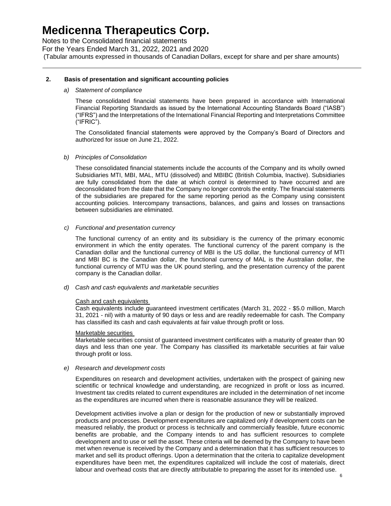Notes to the Consolidated financial statements For the Years Ended March 31, 2022, 2021 and 2020 (Tabular amounts expressed in thousands of Canadian Dollars, except for share and per share amounts)

#### **2. Basis of presentation and significant accounting policies**

#### *a) Statement of compliance*

These consolidated financial statements have been prepared in accordance with International Financial Reporting Standards as issued by the International Accounting Standards Board ("IASB") ("IFRS") and the Interpretations of the International Financial Reporting and Interpretations Committee ("IFRIC").

The Consolidated financial statements were approved by the Company's Board of Directors and authorized for issue on June 21, 2022.

#### *b) Principles of Consolidation*

These consolidated financial statements include the accounts of the Company and its wholly owned Subsidiaries MTI, MBI, MAL, MTU (dissolved) and MBIBC (British Columbia, Inactive). Subsidiaries are fully consolidated from the date at which control is determined to have occurred and are deconsolidated from the date that the Company no longer controls the entity. The financial statements of the subsidiaries are prepared for the same reporting period as the Company using consistent accounting policies. Intercompany transactions, balances, and gains and losses on transactions between subsidiaries are eliminated.

#### *c) Functional and presentation currency*

The functional currency of an entity and its subsidiary is the currency of the primary economic environment in which the entity operates. The functional currency of the parent company is the Canadian dollar and the functional currency of MBI is the US dollar, the functional currency of MTI and MBI BC is the Canadian dollar, the functional currency of MAL is the Australian dollar, the functional currency of MTU was the UK pound sterling, and the presentation currency of the parent company is the Canadian dollar.

#### *d) Cash and cash equivalents and marketable securities*

#### Cash and cash equivalents

Cash equivalents include guaranteed investment certificates (March 31, 2022 - \$5.0 million, March 31, 2021 - nil) with a maturity of 90 days or less and are readily redeemable for cash. The Company has classified its cash and cash equivalents at fair value through profit or loss.

#### Marketable securities

Marketable securities consist of guaranteed investment certificates with a maturity of greater than 90 days and less than one year. The Company has classified its marketable securities at fair value through profit or loss.

#### *e) Research and development costs*

Expenditures on research and development activities, undertaken with the prospect of gaining new scientific or technical knowledge and understanding, are recognized in profit or loss as incurred. Investment tax credits related to current expenditures are included in the determination of net income as the expenditures are incurred when there is reasonable assurance they will be realized.

Development activities involve a plan or design for the production of new or substantially improved products and processes. Development expenditures are capitalized only if development costs can be measured reliably, the product or process is technically and commercially feasible, future economic benefits are probable, and the Company intends to and has sufficient resources to complete development and to use or sell the asset. These criteria will be deemed by the Company to have been met when revenue is received by the Company and a determination that it has sufficient resources to market and sell its product offerings. Upon a determination that the criteria to capitalize development expenditures have been met, the expenditures capitalized will include the cost of materials, direct labour and overhead costs that are directly attributable to preparing the asset for its intended use.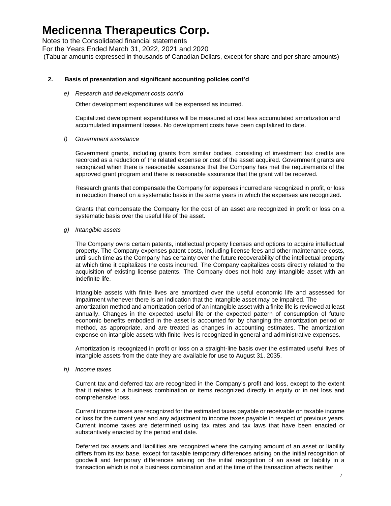Notes to the Consolidated financial statements For the Years Ended March 31, 2022, 2021 and 2020 (Tabular amounts expressed in thousands of Canadian Dollars, except for share and per share amounts)

#### **2. Basis of presentation and significant accounting policies cont'd**

*e) Research and development costs cont'd*

Other development expenditures will be expensed as incurred.

Capitalized development expenditures will be measured at cost less accumulated amortization and accumulated impairment losses. No development costs have been capitalized to date.

*f) Government assistance* 

Government grants, including grants from similar bodies, consisting of investment tax credits are recorded as a reduction of the related expense or cost of the asset acquired. Government grants are recognized when there is reasonable assurance that the Company has met the requirements of the approved grant program and there is reasonable assurance that the grant will be received.

Research grants that compensate the Company for expenses incurred are recognized in profit, or loss in reduction thereof on a systematic basis in the same years in which the expenses are recognized.

Grants that compensate the Company for the cost of an asset are recognized in profit or loss on a systematic basis over the useful life of the asset.

*g) Intangible assets*

The Company owns certain patents, intellectual property licenses and options to acquire intellectual property. The Company expenses patent costs, including license fees and other maintenance costs, until such time as the Company has certainty over the future recoverability of the intellectual property at which time it capitalizes the costs incurred. The Company capitalizes costs directly related to the acquisition of existing license patents. The Company does not hold any intangible asset with an indefinite life.

Intangible assets with finite lives are amortized over the useful economic life and assessed for impairment whenever there is an indication that the intangible asset may be impaired. The amortization method and amortization period of an intangible asset with a finite life is reviewed at least annually. Changes in the expected useful life or the expected pattern of consumption of future economic benefits embodied in the asset is accounted for by changing the amortization period or method, as appropriate, and are treated as changes in accounting estimates. The amortization expense on intangible assets with finite lives is recognized in general and administrative expenses.

Amortization is recognized in profit or loss on a straight-line basis over the estimated useful lives of intangible assets from the date they are available for use to August 31, 2035.

*h) Income taxes*

Current tax and deferred tax are recognized in the Company's profit and loss, except to the extent that it relates to a business combination or items recognized directly in equity or in net loss and comprehensive loss.

Current income taxes are recognized for the estimated taxes payable or receivable on taxable income or loss for the current year and any adjustment to income taxes payable in respect of previous years. Current income taxes are determined using tax rates and tax laws that have been enacted or substantively enacted by the period end date.

Deferred tax assets and liabilities are recognized where the carrying amount of an asset or liability differs from its tax base, except for taxable temporary differences arising on the initial recognition of goodwill and temporary differences arising on the initial recognition of an asset or liability in a transaction which is not a business combination and at the time of the transaction affects neither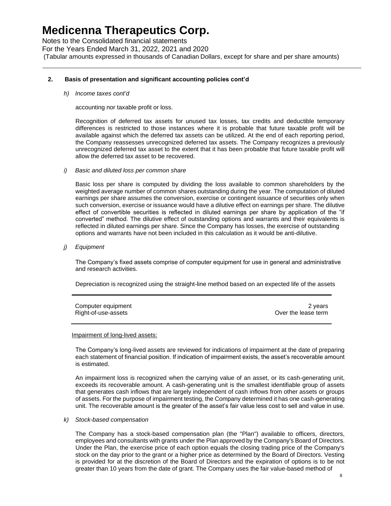Notes to the Consolidated financial statements For the Years Ended March 31, 2022, 2021 and 2020 (Tabular amounts expressed in thousands of Canadian Dollars, except for share and per share amounts)

#### **2. Basis of presentation and significant accounting policies cont'd**

*h) Income taxes cont'd*

accounting nor taxable profit or loss.

Recognition of deferred tax assets for unused tax losses, tax credits and deductible temporary differences is restricted to those instances where it is probable that future taxable profit will be available against which the deferred tax assets can be utilized. At the end of each reporting period, the Company reassesses unrecognized deferred tax assets. The Company recognizes a previously unrecognized deferred tax asset to the extent that it has been probable that future taxable profit will allow the deferred tax asset to be recovered.

*i) Basic and diluted loss per common share*

Basic loss per share is computed by dividing the loss available to common shareholders by the weighted average number of common shares outstanding during the year. The computation of diluted earnings per share assumes the conversion, exercise or contingent issuance of securities only when such conversion, exercise or issuance would have a dilutive effect on earnings per share. The dilutive effect of convertible securities is reflected in diluted earnings per share by application of the "if converted" method. The dilutive effect of outstanding options and warrants and their equivalents is reflected in diluted earnings per share. Since the Company has losses, the exercise of outstanding options and warrants have not been included in this calculation as it would be anti-dilutive.

*j) Equipment* 

The Company's fixed assets comprise of computer equipment for use in general and administrative and research activities.

Depreciation is recognized using the straight-line method based on an expected life of the assets

| Computer equipment  | 2 years             |
|---------------------|---------------------|
| Right-of-use-assets | Over the lease term |

#### Impairment of long-lived assets:

The Company's long-lived assets are reviewed for indications of impairment at the date of preparing each statement of financial position. If indication of impairment exists, the asset's recoverable amount is estimated.

An impairment loss is recognized when the carrying value of an asset, or its cash-generating unit, exceeds its recoverable amount. A cash-generating unit is the smallest identifiable group of assets that generates cash inflows that are largely independent of cash inflows from other assets or groups of assets. For the purpose of impairment testing, the Company determined it has one cash-generating unit. The recoverable amount is the greater of the asset's fair value less cost to sell and value in use.

#### *k) Stock-based compensation*

The Company has a stock-based compensation plan (the "Plan") available to officers, directors, employees and consultants with grants under the Plan approved by the Company's Board of Directors. Under the Plan, the exercise price of each option equals the closing trading price of the Company's stock on the day prior to the grant or a higher price as determined by the Board of Directors. Vesting is provided for at the discretion of the Board of Directors and the expiration of options is to be not greater than 10 years from the date of grant. The Company uses the fair value-based method of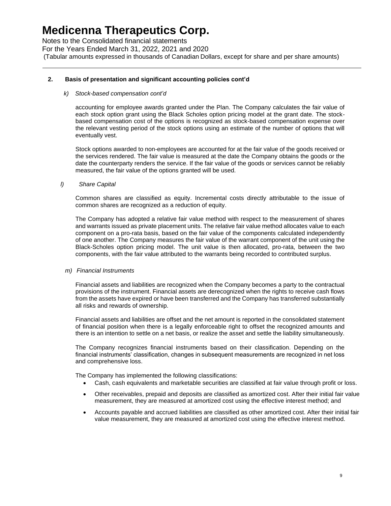Notes to the Consolidated financial statements For the Years Ended March 31, 2022, 2021 and 2020 (Tabular amounts expressed in thousands of Canadian Dollars, except for share and per share amounts)

#### **2. Basis of presentation and significant accounting policies cont'd**

#### *k) Stock-based compensation cont'd*

accounting for employee awards granted under the Plan. The Company calculates the fair value of each stock option grant using the Black Scholes option pricing model at the grant date. The stockbased compensation cost of the options is recognized as stock-based compensation expense over the relevant vesting period of the stock options using an estimate of the number of options that will eventually vest.

Stock options awarded to non-employees are accounted for at the fair value of the goods received or the services rendered. The fair value is measured at the date the Company obtains the goods or the date the counterparty renders the service. If the fair value of the goods or services cannot be reliably measured, the fair value of the options granted will be used.

#### *l) Share Capital*

Common shares are classified as equity. Incremental costs directly attributable to the issue of common shares are recognized as a reduction of equity.

The Company has adopted a relative fair value method with respect to the measurement of shares and warrants issued as private placement units. The relative fair value method allocates value to each component on a pro-rata basis, based on the fair value of the components calculated independently of one another. The Company measures the fair value of the warrant component of the unit using the Black-Scholes option pricing model. The unit value is then allocated, pro-rata, between the two components, with the fair value attributed to the warrants being recorded to contributed surplus.

#### *m) Financial Instruments*

Financial assets and liabilities are recognized when the Company becomes a party to the contractual provisions of the instrument. Financial assets are derecognized when the rights to receive cash flows from the assets have expired or have been transferred and the Company has transferred substantially all risks and rewards of ownership.

Financial assets and liabilities are offset and the net amount is reported in the consolidated statement of financial position when there is a legally enforceable right to offset the recognized amounts and there is an intention to settle on a net basis, or realize the asset and settle the liability simultaneously.

The Company recognizes financial instruments based on their classification. Depending on the financial instruments' classification, changes in subsequent measurements are recognized in net loss and comprehensive loss.

The Company has implemented the following classifications:

- Cash, cash equivalents and marketable securities are classified at fair value through profit or loss.
- Other receivables, prepaid and deposits are classified as amortized cost. After their initial fair value measurement, they are measured at amortized cost using the effective interest method; and
- Accounts payable and accrued liabilities are classified as other amortized cost. After their initial fair value measurement, they are measured at amortized cost using the effective interest method.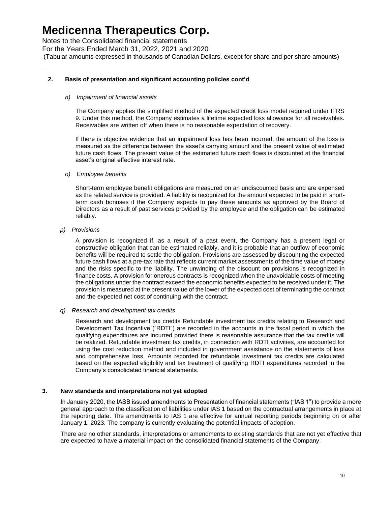Notes to the Consolidated financial statements For the Years Ended March 31, 2022, 2021 and 2020 (Tabular amounts expressed in thousands of Canadian Dollars, except for share and per share amounts)

#### **2. Basis of presentation and significant accounting policies cont'd**

#### *n) Impairment of financial assets*

The Company applies the simplified method of the expected credit loss model required under IFRS 9. Under this method, the Company estimates a lifetime expected loss allowance for all receivables. Receivables are written off when there is no reasonable expectation of recovery.

If there is objective evidence that an impairment loss has been incurred, the amount of the loss is measured as the difference between the asset's carrying amount and the present value of estimated future cash flows. The present value of the estimated future cash flows is discounted at the financial asset's original effective interest rate.

#### *o) Employee benefits*

Short-term employee benefit obligations are measured on an undiscounted basis and are expensed as the related service is provided. A liability is recognized for the amount expected to be paid in shortterm cash bonuses if the Company expects to pay these amounts as approved by the Board of Directors as a result of past services provided by the employee and the obligation can be estimated reliably.

#### *p) Provisions*

A provision is recognized if, as a result of a past event, the Company has a present legal or constructive obligation that can be estimated reliably, and it is probable that an outflow of economic benefits will be required to settle the obligation. Provisions are assessed by discounting the expected future cash flows at a pre-tax rate that reflects current market assessments of the time value of money and the risks specific to the liability. The unwinding of the discount on provisions is recognized in finance costs. A provision for onerous contracts is recognized when the unavoidable costs of meeting the obligations under the contract exceed the economic benefits expected to be received under it. The provision is measured at the present value of the lower of the expected cost of terminating the contract and the expected net cost of continuing with the contract.

#### *q) Research and development tax credits*

Research and development tax credits Refundable investment tax credits relating to Research and Development Tax Incentive ("RDTI") are recorded in the accounts in the fiscal period in which the qualifying expenditures are incurred provided there is reasonable assurance that the tax credits will be realized. Refundable investment tax credits, in connection with RDTI activities, are accounted for using the cost reduction method and included in government assistance on the statements of loss and comprehensive loss. Amounts recorded for refundable investment tax credits are calculated based on the expected eligibility and tax treatment of qualifying RDTI expenditures recorded in the Company's consolidated financial statements.

#### **3. New standards and interpretations not yet adopted**

In January 2020, the IASB issued amendments to Presentation of financial statements ("IAS 1") to provide a more general approach to the classification of liabilities under IAS 1 based on the contractual arrangements in place at the reporting date. The amendments to IAS 1 are effective for annual reporting periods beginning on or after January 1, 2023. The company is currently evaluating the potential impacts of adoption.

There are no other standards, interpretations or amendments to existing standards that are not yet effective that are expected to have a material impact on the consolidated financial statements of the Company.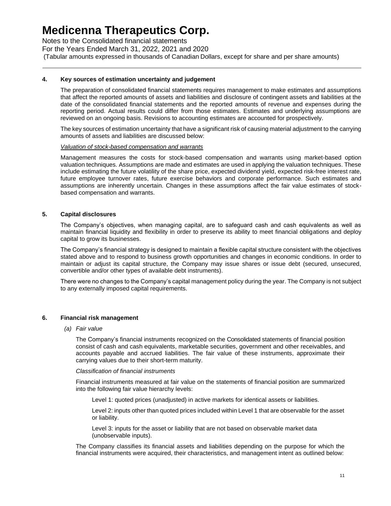Notes to the Consolidated financial statements For the Years Ended March 31, 2022, 2021 and 2020 (Tabular amounts expressed in thousands of Canadian Dollars, except for share and per share amounts)

#### **4. Key sources of estimation uncertainty and judgement**

The preparation of consolidated financial statements requires management to make estimates and assumptions that affect the reported amounts of assets and liabilities and disclosure of contingent assets and liabilities at the date of the consolidated financial statements and the reported amounts of revenue and expenses during the reporting period. Actual results could differ from those estimates. Estimates and underlying assumptions are reviewed on an ongoing basis. Revisions to accounting estimates are accounted for prospectively.

The key sources of estimation uncertainty that have a significant risk of causing material adjustment to the carrying amounts of assets and liabilities are discussed below:

#### *Valuation of stock-based compensation and warrants*

Management measures the costs for stock-based compensation and warrants using market-based option valuation techniques. Assumptions are made and estimates are used in applying the valuation techniques. These include estimating the future volatility of the share price, expected dividend yield, expected risk-free interest rate, future employee turnover rates, future exercise behaviors and corporate performance. Such estimates and assumptions are inherently uncertain. Changes in these assumptions affect the fair value estimates of stockbased compensation and warrants.

#### **5. Capital disclosures**

The Company's objectives, when managing capital, are to safeguard cash and cash equivalents as well as maintain financial liquidity and flexibility in order to preserve its ability to meet financial obligations and deploy capital to grow its businesses.

The Company's financial strategy is designed to maintain a flexible capital structure consistent with the objectives stated above and to respond to business growth opportunities and changes in economic conditions. In order to maintain or adjust its capital structure, the Company may issue shares or issue debt (secured, unsecured, convertible and/or other types of available debt instruments).

There were no changes to the Company's capital management policy during the year. The Company is not subject to any externally imposed capital requirements.

#### **6. Financial risk management**

#### *(a) Fair value*

The Company's financial instruments recognized on the Consolidated statements of financial position consist of cash and cash equivalents, marketable securities, government and other receivables, and accounts payable and accrued liabilities. The fair value of these instruments, approximate their carrying values due to their short-term maturity.

#### *Classification of financial instruments*

Financial instruments measured at fair value on the statements of financial position are summarized into the following fair value hierarchy levels:

Level 1: quoted prices (unadjusted) in active markets for identical assets or liabilities.

Level 2: inputs other than quoted prices included within Level 1 that are observable for the asset or liability.

Level 3: inputs for the asset or liability that are not based on observable market data (unobservable inputs).

The Company classifies its financial assets and liabilities depending on the purpose for which the financial instruments were acquired, their characteristics, and management intent as outlined below: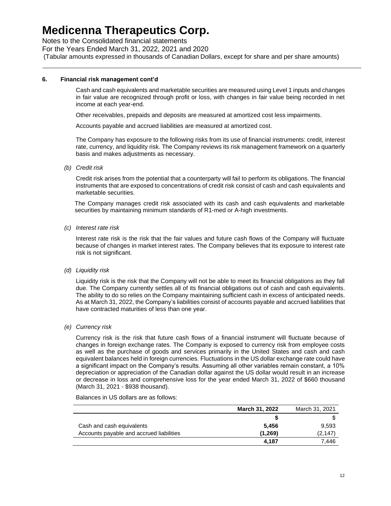Notes to the Consolidated financial statements

For the Years Ended March 31, 2022, 2021 and 2020

(Tabular amounts expressed in thousands of Canadian Dollars, except for share and per share amounts)

#### **6. Financial risk management cont'd**

Cash and cash equivalents and marketable securities are measured using Level 1 inputs and changes in fair value are recognized through profit or loss, with changes in fair value being recorded in net income at each year-end.

Other receivables, prepaids and deposits are measured at amortized cost less impairments.

Accounts payable and accrued liabilities are measured at amortized cost.

The Company has exposure to the following risks from its use of financial instruments: credit, interest rate, currency, and liquidity risk. The Company reviews its risk management framework on a quarterly basis and makes adjustments as necessary.

*(b) Credit risk*

Credit risk arises from the potential that a counterparty will fail to perform its obligations. The financial instruments that are exposed to concentrations of credit risk consist of cash and cash equivalents and marketable securities.

The Company manages credit risk associated with its cash and cash equivalents and marketable securities by maintaining minimum standards of R1-med or A-high investments.

*(c) Interest rate risk*

Interest rate risk is the risk that the fair values and future cash flows of the Company will fluctuate because of changes in market interest rates. The Company believes that its exposure to interest rate risk is not significant.

*(d) Liquidity risk*

Liquidity risk is the risk that the Company will not be able to meet its financial obligations as they fall due. The Company currently settles all of its financial obligations out of cash and cash equivalents. The ability to do so relies on the Company maintaining sufficient cash in excess of anticipated needs. As at March 31, 2022, the Company's liabilities consist of accounts payable and accrued liabilities that have contracted maturities of less than one year.

*(e) Currency risk*

Currency risk is the risk that future cash flows of a financial instrument will fluctuate because of changes in foreign exchange rates. The Company is exposed to currency risk from employee costs as well as the purchase of goods and services primarily in the United States and cash and cash equivalent balances held in foreign currencies. Fluctuations in the US dollar exchange rate could have a significant impact on the Company's results. Assuming all other variables remain constant, a 10% depreciation or appreciation of the Canadian dollar against the US dollar would result in an increase or decrease in loss and comprehensive loss for the year ended March 31, 2022 of \$660 thousand (March 31, 2021 - \$938 thousand).

#### Balances in US dollars are as follows:

|                                          | March 31, 2022 | March 31, 2021 |
|------------------------------------------|----------------|----------------|
|                                          |                |                |
| Cash and cash equivalents                | 5.456          | 9,593          |
| Accounts payable and accrued liabilities | (1,269)        | (2, 147)       |
|                                          | 4.187          | 7.446          |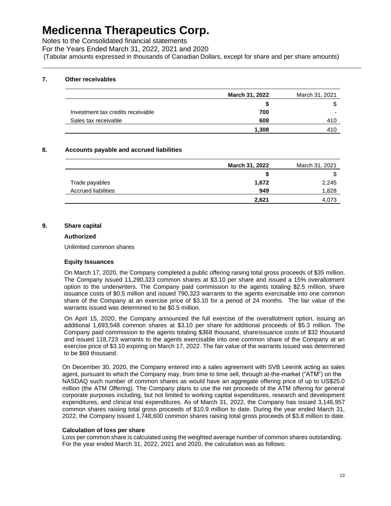Notes to the Consolidated financial statements

For the Years Ended March 31, 2022, 2021 and 2020

(Tabular amounts expressed in thousands of Canadian Dollars, except for share and per share amounts)

#### **7. Other receivables**

|                                   | <b>March 31, 2022</b> | March 31, 2021 |
|-----------------------------------|-----------------------|----------------|
|                                   |                       | ጥ              |
| Investment tax credits receivable | 700                   | -              |
| Sales tax receivable              | 608                   | 410            |
|                                   | 1.308                 | 410            |

#### **8. Accounts payable and accrued liabilities**

|                            | March 31, 2022 | March 31, 2021 |
|----------------------------|----------------|----------------|
|                            |                | \$             |
| Trade payables             | 1,672          | 2,245          |
| <b>Accrued liabilities</b> | 949            | 1,828          |
|                            | 2,621          | 4.073          |

#### **9. Share capital**

#### **Authorized**

Unlimited common shares

#### **Equity Issuances**

On March 17, 2020, the Company completed a public offering raising total gross proceeds of \$35 million. The Company issued 11,290,323 common shares at \$3.10 per share and issued a 15% overallotment option to the underwriters. The Company paid commission to the agents totaling \$2.5 million, share issuance costs of \$0.5 million and issued 790,323 warrants to the agents exercisable into one common share of the Company at an exercise price of \$3.10 for a period of 24 months. The fair value of the warrants issued was determined to be \$0.5 million.

On April 15, 2020, the Company announced the full exercise of the overallotment option, issuing an additional 1,693,548 common shares at \$3.10 per share for additional proceeds of \$5.3 million. The Company paid commission to the agents totaling \$368 thousand, shareissuance costs of \$32 thousand and issued 118,723 warrants to the agents exercisable into one common share of the Company at an exercise price of \$3.10 expiring on March 17, 2022. The fair value of the warrants issued was determined to be \$69 thousand.

On December 30, 2020, the Company entered into a sales agreement with SVB Leerink acting as sales agent, pursuant to which the Company may, from time to time sell, through at-the-market ("ATM") on the NASDAQ such number of common shares as would have an aggregate offering price of up to US\$25.0 million (the ATM Offering). The Company plans to use the net proceeds of the ATM offering for general corporate purposes including, but not limited to working capital expenditures, research and development expenditures, and clinical trial expenditures. As of March 31, 2022, the Company has issued 3,146,957 common shares raising total gross proceeds of \$10.9 million to date. During the year ended March 31, 2022, the Company issued 1,748,600 common shares raising total gross proceeds of \$3.8 million to date.

#### **Calculation of loss per share**

Loss per common share is calculated using the weighted average number of common shares outstanding. For the year ended March 31, 2022, 2021 and 2020, the calculation was as follows: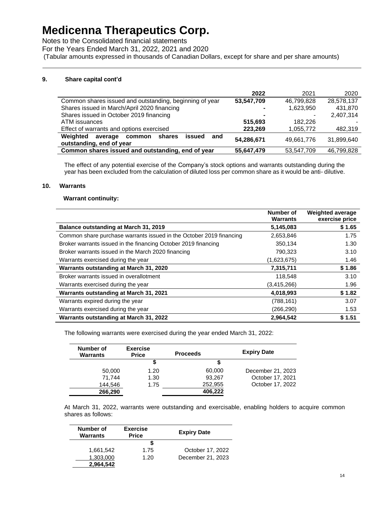Notes to the Consolidated financial statements

For the Years Ended March 31, 2022, 2021 and 2020

(Tabular amounts expressed in thousands of Canadian Dollars, except for share and per share amounts)

#### **9. Share capital cont'd**

|                                                                                      | 2022       | 2021       | 2020       |
|--------------------------------------------------------------------------------------|------------|------------|------------|
| Common shares issued and outstanding, beginning of year                              | 53,547,709 | 46,799,828 | 28,578,137 |
| Shares issued in March/April 2020 financing                                          |            | 1,623,950  | 431.870    |
| Shares issued in October 2019 financing                                              |            |            | 2,407,314  |
| ATM issuances                                                                        | 515.693    | 182.226    |            |
| Effect of warrants and options exercised                                             | 223,269    | 1,055,772  | 482,319    |
| Weighted<br>average<br>shares<br>issued<br>and<br>common<br>outstanding, end of year | 54,286,671 | 49.661.776 | 31.899.640 |
| Common shares issued and outstanding, end of year                                    | 55.647.479 | 53,547,709 | 46.799.828 |

The effect of any potential exercise of the Company's stock options and warrants outstanding during the year has been excluded from the calculation of diluted loss per common share as it would be anti- dilutive.

#### **10. Warrants**

#### **Warrant continuity:**

|                                                                     | Number of<br><b>Warrants</b> | <b>Weighted average</b><br>exercise price |
|---------------------------------------------------------------------|------------------------------|-------------------------------------------|
| <b>Balance outstanding at March 31, 2019</b>                        | 5,145,083                    | \$1.65                                    |
| Common share purchase warrants issued in the October 2019 financing | 2,653,846                    | 1.75                                      |
| Broker warrants issued in the financing October 2019 financing      | 350,134                      | 1.30                                      |
| Broker warrants issued in the March 2020 financing                  | 790,323                      | 3.10                                      |
| Warrants exercised during the year                                  | (1,623,675)                  | 1.46                                      |
| Warrants outstanding at March 31, 2020                              | 7,315,711                    | \$1.86                                    |
| Broker warrants issued in overallotment                             | 118,548                      | 3.10                                      |
| Warrants exercised during the year                                  | (3,415,266)                  | 1.96                                      |
| Warrants outstanding at March 31, 2021                              | 4,018,993                    | \$1.82                                    |
| Warrants expired during the year                                    | (788, 161)                   | 3.07                                      |
| Warrants exercised during the year                                  | (266, 290)                   | 1.53                                      |
| Warrants outstanding at March 31, 2022                              | 2,964,542                    | \$1.51                                    |

The following warrants were exercised during the year ended March 31, 2022:

| Number of<br><b>Warrants</b> | <b>Exercise</b><br><b>Price</b> | <b>Proceeds</b> | <b>Expiry Date</b> |
|------------------------------|---------------------------------|-----------------|--------------------|
|                              | \$                              |                 |                    |
| 50,000                       | 1.20                            | 60,000          | December 21, 2023  |
| 71.744                       | 1.30                            | 93,267          | October 17, 2021   |
| 144,546                      | 1.75                            | 252,955         | October 17, 2022   |
| 266,290                      |                                 | 406,222         |                    |

At March 31, 2022, warrants were outstanding and exercisable, enabling holders to acquire common shares as follows:

| Number of<br><b>Warrants</b> | <b>Exercise</b><br><b>Price</b> | <b>Expiry Date</b> |
|------------------------------|---------------------------------|--------------------|
|                              |                                 |                    |
| 1,661,542                    | 1.75                            | October 17, 2022   |
| 1,303,000                    | 1.20                            | December 21, 2023  |
| 2,964.542                    |                                 |                    |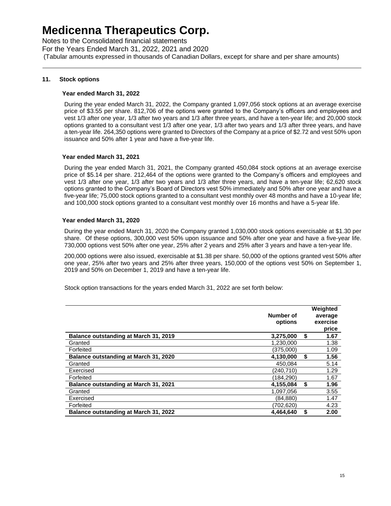Notes to the Consolidated financial statements For the Years Ended March 31, 2022, 2021 and 2020 (Tabular amounts expressed in thousands of Canadian Dollars, except for share and per share amounts)

#### **11. Stock options**

#### **Year ended March 31, 2022**

During the year ended March 31, 2022, the Company granted 1,097,056 stock options at an average exercise price of \$3.55 per share. 812,706 of the options were granted to the Company's officers and employees and vest 1/3 after one year, 1/3 after two years and 1/3 after three years, and have a ten-year life; and 20,000 stock options granted to a consultant vest 1/3 after one year, 1/3 after two years and 1/3 after three years, and have a ten-year life. 264,350 options were granted to Directors of the Company at a price of \$2.72 and vest 50% upon issuance and 50% after 1 year and have a five-year life.

#### **Year ended March 31, 2021**

During the year ended March 31, 2021, the Company granted 450,084 stock options at an average exercise price of \$5.14 per share. 212,464 of the options were granted to the Company's officers and employees and vest 1/3 after one year, 1/3 after two years and 1/3 after three years, and have a ten-year life; 62,620 stock options granted to the Company's Board of Directors vest 50% immediately and 50% after one year and have a five-year life; 75,000 stock options granted to a consultant vest monthly over 48 months and have a 10-year life; and 100,000 stock options granted to a consultant vest monthly over 16 months and have a 5-year life.

#### **Year ended March 31, 2020**

During the year ended March 31, 2020 the Company granted 1,030,000 stock options exercisable at \$1.30 per share. Of these options, 300,000 vest 50% upon issuance and 50% after one year and have a five-year life. 730,000 options vest 50% after one year, 25% after 2 years and 25% after 3 years and have a ten-year life.

200,000 options were also issued, exercisable at \$1.38 per share. 50,000 of the options granted vest 50% after one year, 25% after two years and 25% after three years, 150,000 of the options vest 50% on September 1, 2019 and 50% on December 1, 2019 and have a ten-year life.

Stock option transactions for the years ended March 31, 2022 are set forth below:

|                                              | Number of<br>options |    | Weighted<br>average<br>exercise<br>price |
|----------------------------------------------|----------------------|----|------------------------------------------|
| Balance outstanding at March 31, 2019        | 3,275,000            | S  | 1.67                                     |
| Granted                                      | 1.230.000            |    | 1.38                                     |
| Forfeited                                    | (375,000)            |    | 1.09                                     |
| <b>Balance outstanding at March 31, 2020</b> | 4.130.000            |    | 1.56                                     |
| Granted                                      | 450.084              |    | 5.14                                     |
| Exercised                                    | (240.710)            |    | 1.29                                     |
| Forfeited                                    | (184,290)            |    | 1.67                                     |
| Balance outstanding at March 31, 2021        | 4.155.084            | \$ | 1.96                                     |
| Granted                                      | 1.097.056            |    | 3.55                                     |
| Exercised                                    | (84,880)             |    | 1.47                                     |
| Forfeited                                    | (702.620)            |    | 4.23                                     |
| <b>Balance outstanding at March 31, 2022</b> | 4.464.640            | \$ | 2.00                                     |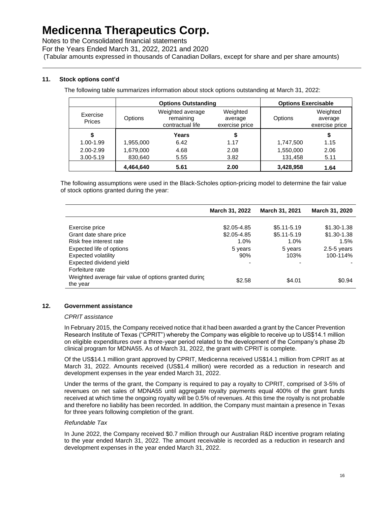Notes to the Consolidated financial statements

For the Years Ended March 31, 2022, 2021 and 2020

(Tabular amounts expressed in thousands of Canadian Dollars, except for share and per share amounts)

### **11. Stock options cont'd**

The following table summarizes information about stock options outstanding at March 31, 2022:

|                    |           | <b>Options Outstanding</b>                        |                                       | <b>Options Exercisable</b> |                                       |
|--------------------|-----------|---------------------------------------------------|---------------------------------------|----------------------------|---------------------------------------|
| Exercise<br>Prices | Options   | Weighted average<br>remaining<br>contractual life | Weighted<br>average<br>exercise price | Options                    | Weighted<br>average<br>exercise price |
| \$                 |           | Years                                             |                                       |                            | \$                                    |
| 1.00-1.99          | 1,955,000 | 6.42                                              | 1.17                                  | 1,747,500                  | 1.15                                  |
| 2.00-2.99          | 1,679,000 | 4.68                                              | 2.08                                  | 1,550,000                  | 2.06                                  |
| $3.00 - 5.19$      | 830,640   | 5.55                                              | 3.82                                  | 131,458                    | 5.11                                  |
|                    | 4,464,640 | 5.61                                              | 2.00                                  | 3,428,958                  | 1.64                                  |

The following assumptions were used in the Black-Scholes option-pricing model to determine the fair value of stock options granted during the year:

|                                                                   | March 31, 2022 | <b>March 31, 2021</b> | March 31, 2020  |
|-------------------------------------------------------------------|----------------|-----------------------|-----------------|
| Exercise price                                                    | \$2,05-4.85    | $$5.11 - 5.19$        | $$1,30-1,38$    |
| Grant date share price                                            | $$2.05 - 4.85$ | $$5.11 - 5.19$        | $$1.30 - 1.38$  |
| Risk free interest rate                                           | 1.0%           | 1.0%                  | 1.5%            |
| Expected life of options                                          | 5 years        | 5 years               | $2.5 - 5$ years |
| Expected volatility                                               | 90%            | 103%                  | 100-114%        |
| Expected dividend yield                                           | -              | -                     |                 |
| Forfeiture rate                                                   |                |                       |                 |
| Weighted average fair value of options granted during<br>the year | \$2.58         | \$4.01                | \$0.94          |

#### **12. Government assistance**

#### *CPRIT assistance*

In February 2015, the Company received notice that it had been awarded a grant by the Cancer Prevention Research Institute of Texas ("CPRIT") whereby the Company was eligible to receive up to US\$14.1 million on eligible expenditures over a three-year period related to the development of the Company's phase 2b clinical program for MDNA55. As of March 31, 2022, the grant with CPRIT is complete.

Of the US\$14.1 million grant approved by CPRIT, Medicenna received US\$14.1 million from CPRIT as at March 31, 2022. Amounts received (US\$1.4 million) were recorded as a reduction in research and development expenses in the year ended March 31, 2022.

Under the terms of the grant, the Company is required to pay a royalty to CPRIT, comprised of 3-5% of revenues on net sales of MDNA55 until aggregate royalty payments equal 400% of the grant funds received at which time the ongoing royalty will be 0.5% of revenues. At this time the royalty is not probable and therefore no liability has been recorded. In addition, the Company must maintain a presence in Texas for three years following completion of the grant.

#### *Refundable Tax*

In June 2022, the Company received \$0.7 million through our Australian R&D incentive program relating to the year ended March 31, 2022. The amount receivable is recorded as a reduction in research and development expenses in the year ended March 31, 2022.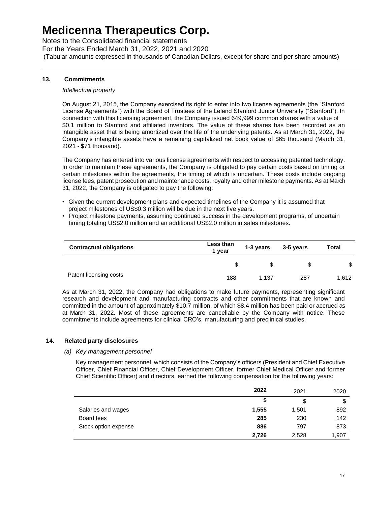Notes to the Consolidated financial statements For the Years Ended March 31, 2022, 2021 and 2020 (Tabular amounts expressed in thousands of Canadian Dollars, except for share and per share amounts)

#### **13. Commitments**

#### *Intellectual property*

On August 21, 2015, the Company exercised its right to enter into two license agreements (the "Stanford License Agreements") with the Board of Trustees of the Leland Stanford Junior University ("Stanford"). In connection with this licensing agreement, the Company issued 649,999 common shares with a value of \$0.1 million to Stanford and affiliated inventors. The value of these shares has been recorded as an intangible asset that is being amortized over the life of the underlying patents. As at March 31, 2022, the Company's intangible assets have a remaining capitalized net book value of \$65 thousand (March 31, 2021 - \$71 thousand).

The Company has entered into various license agreements with respect to accessing patented technology. In order to maintain these agreements, the Company is obligated to pay certain costs based on timing or certain milestones within the agreements, the timing of which is uncertain. These costs include ongoing license fees, patent prosecution and maintenance costs, royalty and other milestone payments. As at March 31, 2022, the Company is obligated to pay the following:

- Given the current development plans and expected timelines of the Company it is assumed that project milestones of US\$0.3 million will be due in the next five years.
- Project milestone payments, assuming continued success in the development programs, of uncertain timing totaling US\$2.0 million and an additional US\$2.0 million in sales milestones.

| <b>Contractual obligations</b> | Less than<br>1 vear | 1-3 years | 3-5 years | Total |
|--------------------------------|---------------------|-----------|-----------|-------|
|                                | S                   |           |           | \$    |
| Patent licensing costs         | 188                 | 1.137     | 287       | 1.612 |

As at March 31, 2022, the Company had obligations to make future payments, representing significant research and development and manufacturing contracts and other commitments that are known and committed in the amount of approximately \$10.7 million, of which \$8.4 million has been paid or accrued as at March 31, 2022. Most of these agreements are cancellable by the Company with notice. These commitments include agreements for clinical CRO's, manufacturing and preclinical studies.

#### **14. Related party disclosures**

#### *(a) Key management personnel*

Key management personnel, which consists of the Company's officers (President and Chief Executive Officer, Chief Financial Officer, Chief Development Officer, former Chief Medical Officer and former Chief Scientific Officer) and directors, earned the following compensation for the following years:

|                      | 2022  | 2021  | 2020  |
|----------------------|-------|-------|-------|
|                      | S     | \$    | \$    |
| Salaries and wages   | 1,555 | 1,501 | 892   |
| Board fees           | 285   | 230   | 142   |
| Stock option expense | 886   | 797   | 873   |
|                      | 2,726 | 2,528 | 1,907 |
|                      |       |       |       |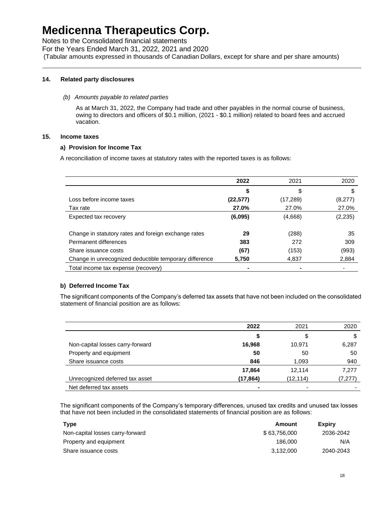Notes to the Consolidated financial statements For the Years Ended March 31, 2022, 2021 and 2020 (Tabular amounts expressed in thousands of Canadian Dollars, except for share and per share amounts)

#### **14. Related party disclosures**

#### *(b) Amounts payable to related parties*

As at March 31, 2022, the Company had trade and other payables in the normal course of business, owing to directors and officers of \$0.1 million, (2021 - \$0.1 million) related to board fees and accrued vacation.

#### **15. Income taxes**

#### **a) Provision for Income Tax**

A reconciliation of income taxes at statutory rates with the reported taxes is as follows:

|                                                        | 2022      | 2021      | 2020     |
|--------------------------------------------------------|-----------|-----------|----------|
|                                                        | \$        | \$        | S        |
| Loss before income taxes                               | (22, 577) | (17, 289) | (8,277)  |
| Tax rate                                               | 27.0%     | 27.0%     | 27.0%    |
| Expected tax recovery                                  | (6,095)   | (4,668)   | (2, 235) |
|                                                        |           |           |          |
| Change in statutory rates and foreign exchange rates   | 29        | (288)     | 35       |
| Permanent differences                                  | 383       | 272       | 309      |
| Share issuance costs                                   | (67)      | (153)     | (993)    |
| Change in unrecognized deductible temporary difference | 5,750     | 4,837     | 2,884    |
| Total income tax expense (recovery)                    |           |           |          |

#### **b) Deferred Income Tax**

The significant components of the Company's deferred tax assets that have not been included on the consolidated statement of financial position are as follows:

|                                  | 2022      | 2021      | 2020    |
|----------------------------------|-----------|-----------|---------|
|                                  | \$        |           | \$      |
| Non-capital losses carry-forward | 16,968    | 10,971    | 6,287   |
| Property and equipment           | 50        | 50        | 50      |
| Share issuance costs             | 846       | 1,093     | 940     |
|                                  | 17,864    | 12.114    | 7,277   |
| Unrecognized deferred tax asset  | (17, 864) | (12, 114) | (7,277) |
| Net deferred tax assets          | ۰         | -         |         |

The significant components of the Company's temporary differences, unused tax credits and unused tax losses that have not been included in the consolidated statements of financial position are as follows:

| Type                             | Amount       | <b>Expiry</b> |
|----------------------------------|--------------|---------------|
| Non-capital losses carry-forward | \$63.756.000 | 2036-2042     |
| Property and equipment           | 186,000      | N/A           |
| Share issuance costs             | 3.132.000    | 2040-2043     |